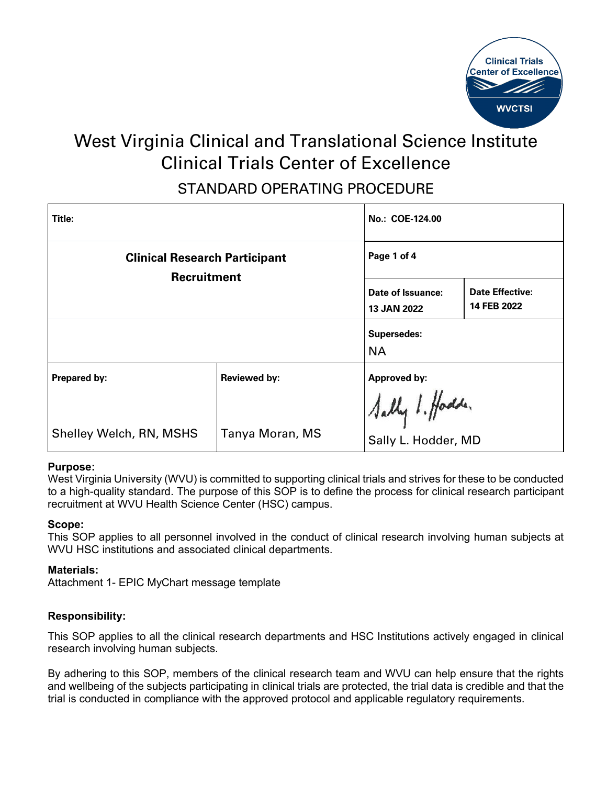

# West Virginia Clinical and Translational Science Institute Clinical Trials Center of Excellence STANDARD OPERATING PROCEDURE

| Title:                                              |                     | No.: COE-124.00                         |                                       |
|-----------------------------------------------------|---------------------|-----------------------------------------|---------------------------------------|
| <b>Clinical Research Participant</b><br>Recruitment |                     | Page 1 of 4                             |                                       |
|                                                     |                     | Date of Issuance:<br><b>13 JAN 2022</b> | <b>Date Effective:</b><br>14 FEB 2022 |
|                                                     |                     | <b>Supersedes:</b><br><b>NA</b>         |                                       |
| Prepared by:                                        | <b>Reviewed by:</b> | Approved by:                            |                                       |
|                                                     |                     | Sally 1. Hodde.                         |                                       |
| Shelley Welch, RN, MSHS                             | Tanya Moran, MS     | Sally L. Hodder, MD                     |                                       |

# **Purpose:**

West Virginia University (WVU) is committed to supporting clinical trials and strives for these to be conducted to a high-quality standard. The purpose of this SOP is to define the process for clinical research participant recruitment at WVU Health Science Center (HSC) campus.

#### **Scope:**

This SOP applies to all personnel involved in the conduct of clinical research involving human subjects at WVU HSC institutions and associated clinical departments.

#### **Materials:**

Attachment 1- EPIC MyChart message template

# **Responsibility:**

This SOP applies to all the clinical research departments and HSC Institutions actively engaged in clinical research involving human subjects.

By adhering to this SOP, members of the clinical research team and WVU can help ensure that the rights and wellbeing of the subjects participating in clinical trials are protected, the trial data is credible and that the trial is conducted in compliance with the approved protocol and applicable regulatory requirements.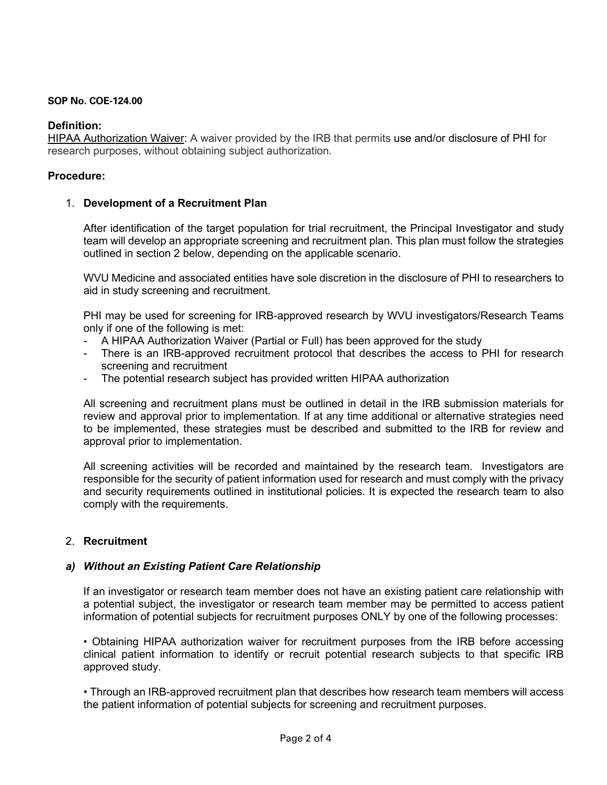### **SOP No. COE-124.00**

# **Definition:**

HIPAA Authorization Waiver: A waiver provided by the IRB that permits [use and/or disclosure](http://medicine.umich.edu/medschool/research/office-research/institutional-review-boards/privacy-board/protected-health-information-phi/uses-and-disclosures-protected-health-information-phi) of [PHI](http://medicine.umich.edu/medschool/research/office-research/institutional-review-boards/privacy-board/protected-health-information-phi) for research purposes, without obtaining subject authorization.

## **Procedure:**

## 1. **Development of a Recruitment Plan**

After identification of the target population for trial recruitment, the Principal Investigator and study team will develop an appropriate screening and recruitment plan. This plan must follow the strategies outlined in section 2 below, depending on the applicable scenario.

WVU Medicine and associated entities have sole discretion in the disclosure of PHI to researchers to aid in study screening and recruitment.

PHI may be used for screening for IRB-approved research by WVU investigators/Research Teams only if one of the following is met:

- A HIPAA Authorization Waiver (Partial or Full) has been approved for the study
- There is an IRB-approved recruitment protocol that describes the access to PHI for research screening and recruitment
- The potential research subject has provided written HIPAA authorization

All screening and recruitment plans must be outlined in detail in the IRB submission materials for review and approval prior to implementation. If at any time additional or alternative strategies need to be implemented, these strategies must be described and submitted to the IRB for review and approval prior to implementation.

All screening activities will be recorded and maintained by the research team. Investigators are responsible for the security of patient information used for research and must comply with the privacy and security requirements outlined in institutional policies. It is expected the research team to also comply with the requirements.

# 2. **Recruitment**

# *a) Without an Existing Patient Care Relationship*

If an investigator or research team member does not have an existing patient care relationship with a potential subject, the investigator or research team member may be permitted to access patient information of potential subjects for recruitment purposes ONLY by one of the following processes:

• Obtaining HIPAA authorization waiver for recruitment purposes from the IRB before accessing clinical patient information to identify or recruit potential research subjects to that specific IRB approved study.

• Through an IRB-approved recruitment plan that describes how research team members will access the patient information of potential subjects for screening and recruitment purposes.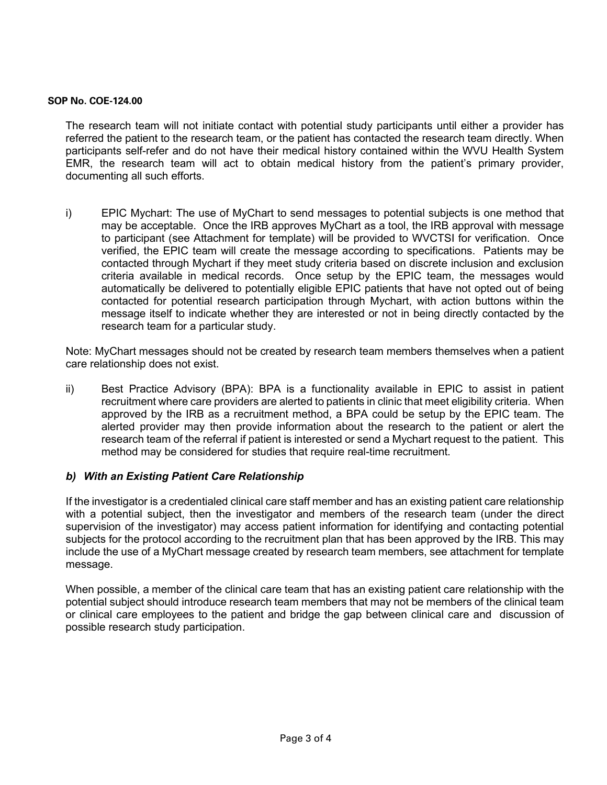#### **SOP No. COE-124.00**

The research team will not initiate contact with potential study participants until either a provider has referred the patient to the research team, or the patient has contacted the research team directly. When participants self-refer and do not have their medical history contained within the WVU Health System EMR, the research team will act to obtain medical history from the patient's primary provider, documenting all such efforts.

i) EPIC Mychart: The use of MyChart to send messages to potential subjects is one method that may be acceptable. Once the IRB approves MyChart as a tool, the IRB approval with message to participant (see Attachment for template) will be provided to WVCTSI for verification. Once verified, the EPIC team will create the message according to specifications. Patients may be contacted through Mychart if they meet study criteria based on discrete inclusion and exclusion criteria available in medical records. Once setup by the EPIC team, the messages would automatically be delivered to potentially eligible EPIC patients that have not opted out of being contacted for potential research participation through Mychart, with action buttons within the message itself to indicate whether they are interested or not in being directly contacted by the research team for a particular study.

Note: MyChart messages should not be created by research team members themselves when a patient care relationship does not exist.

ii) Best Practice Advisory (BPA): BPA is a functionality available in EPIC to assist in patient recruitment where care providers are alerted to patients in clinic that meet eligibility criteria. When approved by the IRB as a recruitment method, a BPA could be setup by the EPIC team. The alerted provider may then provide information about the research to the patient or alert the research team of the referral if patient is interested or send a Mychart request to the patient. This method may be considered for studies that require real-time recruitment.

# *b) With an Existing Patient Care Relationship*

If the investigator is a credentialed clinical care staff member and has an existing patient care relationship with a potential subject, then the investigator and members of the research team (under the direct supervision of the investigator) may access patient information for identifying and contacting potential subjects for the protocol according to the recruitment plan that has been approved by the IRB. This may include the use of a MyChart message created by research team members, see attachment for template message.

When possible, a member of the clinical care team that has an existing patient care relationship with the potential subject should introduce research team members that may not be members of the clinical team or clinical care employees to the patient and bridge the gap between clinical care and discussion of possible research study participation.